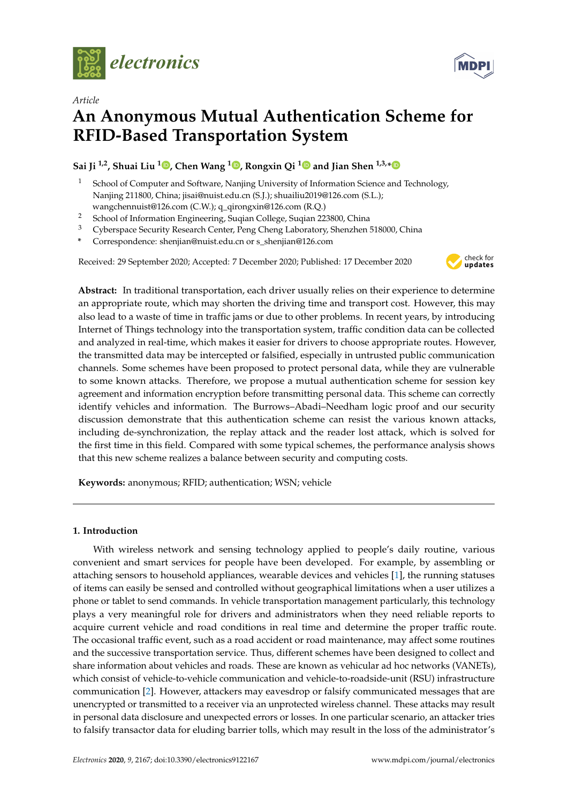



# **An Anonymous Mutual Authentication Scheme for RFID-Based Transportation System**

# **Sai Ji 1,2, Shuai Liu [1](https://orcid.org/0000-0003-1679-9577) , Chen Wang <sup>1</sup> [,](https://orcid.org/0000-0002-3951-3159) Rongxin Qi [1](https://orcid.org/0000-0002-0667-6699) and Jian Shen 1,3,[\\*](https://orcid.org/0000-0003-0519-9058)**

- School of Computer and Software, Nanjing University of Information Science and Technology, Nanjing 211800, China; jisai@nuist.edu.cn (S.J.); shuailiu2019@126.com (S.L.); wangchennuist@126.com (C.W.); q\_qirongxin@126.com (R.Q.)
- <sup>2</sup> School of Information Engineering, Suqian College, Suqian 223800, China
- <sup>3</sup> Cyberspace Security Research Center, Peng Cheng Laboratory, Shenzhen 518000, China
- **\*** Correspondence: shenjian@nuist.edu.cn or s\_shenjian@126.com

Received: 29 September 2020; Accepted: 7 December 2020; Published: 17 December 2020



**MDPI** 

**Abstract:** In traditional transportation, each driver usually relies on their experience to determine an appropriate route, which may shorten the driving time and transport cost. However, this may also lead to a waste of time in traffic jams or due to other problems. In recent years, by introducing Internet of Things technology into the transportation system, traffic condition data can be collected and analyzed in real-time, which makes it easier for drivers to choose appropriate routes. However, the transmitted data may be intercepted or falsified, especially in untrusted public communication channels. Some schemes have been proposed to protect personal data, while they are vulnerable to some known attacks. Therefore, we propose a mutual authentication scheme for session key agreement and information encryption before transmitting personal data. This scheme can correctly identify vehicles and information. The Burrows–Abadi–Needham logic proof and our security discussion demonstrate that this authentication scheme can resist the various known attacks, including de-synchronization, the replay attack and the reader lost attack, which is solved for the first time in this field. Compared with some typical schemes, the performance analysis shows that this new scheme realizes a balance between security and computing costs.

**Keywords:** anonymous; RFID; authentication; WSN; vehicle

# **1. Introduction**

With wireless network and sensing technology applied to people's daily routine, various convenient and smart services for people have been developed. For example, by assembling or attaching sensors to household appliances, wearable devices and vehicles [\[1\]](#page-13-0), the running statuses of items can easily be sensed and controlled without geographical limitations when a user utilizes a phone or tablet to send commands. In vehicle transportation management particularly, this technology plays a very meaningful role for drivers and administrators when they need reliable reports to acquire current vehicle and road conditions in real time and determine the proper traffic route. The occasional traffic event, such as a road accident or road maintenance, may affect some routines and the successive transportation service. Thus, different schemes have been designed to collect and share information about vehicles and roads. These are known as vehicular ad hoc networks (VANETs), which consist of vehicle-to-vehicle communication and vehicle-to-roadside-unit (RSU) infrastructure communication [\[2\]](#page-13-1). However, attackers may eavesdrop or falsify communicated messages that are unencrypted or transmitted to a receiver via an unprotected wireless channel. These attacks may result in personal data disclosure and unexpected errors or losses. In one particular scenario, an attacker tries to falsify transactor data for eluding barrier tolls, which may result in the loss of the administrator's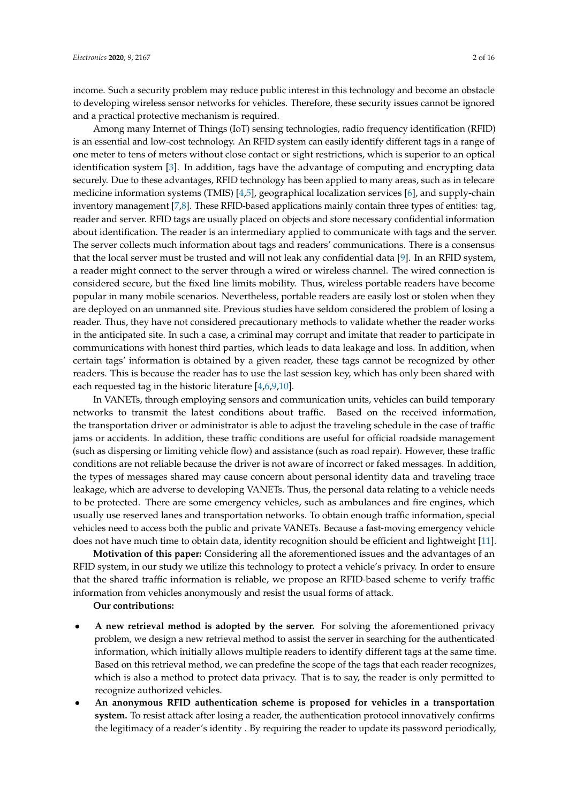income. Such a security problem may reduce public interest in this technology and become an obstacle to developing wireless sensor networks for vehicles. Therefore, these security issues cannot be ignored and a practical protective mechanism is required.

Among many Internet of Things (IoT) sensing technologies, radio frequency identification (RFID) is an essential and low-cost technology. An RFID system can easily identify different tags in a range of one meter to tens of meters without close contact or sight restrictions, which is superior to an optical identification system [\[3\]](#page-13-2). In addition, tags have the advantage of computing and encrypting data securely. Due to these advantages, RFID technology has been applied to many areas, such as in telecare medicine information systems (TMIS) [\[4,](#page-13-3)[5\]](#page-13-4), geographical localization services [\[6\]](#page-14-0), and supply-chain inventory management [\[7](#page-14-1)[,8\]](#page-14-2). These RFID-based applications mainly contain three types of entities: tag, reader and server. RFID tags are usually placed on objects and store necessary confidential information about identification. The reader is an intermediary applied to communicate with tags and the server. The server collects much information about tags and readers' communications. There is a consensus that the local server must be trusted and will not leak any confidential data [\[9\]](#page-14-3). In an RFID system, a reader might connect to the server through a wired or wireless channel. The wired connection is considered secure, but the fixed line limits mobility. Thus, wireless portable readers have become popular in many mobile scenarios. Nevertheless, portable readers are easily lost or stolen when they are deployed on an unmanned site. Previous studies have seldom considered the problem of losing a reader. Thus, they have not considered precautionary methods to validate whether the reader works in the anticipated site. In such a case, a criminal may corrupt and imitate that reader to participate in communications with honest third parties, which leads to data leakage and loss. In addition, when certain tags' information is obtained by a given reader, these tags cannot be recognized by other readers. This is because the reader has to use the last session key, which has only been shared with each requested tag in the historic literature [\[4,](#page-13-3)[6,](#page-14-0)[9,](#page-14-3)[10\]](#page-14-4).

In VANETs, through employing sensors and communication units, vehicles can build temporary networks to transmit the latest conditions about traffic. Based on the received information, the transportation driver or administrator is able to adjust the traveling schedule in the case of traffic jams or accidents. In addition, these traffic conditions are useful for official roadside management (such as dispersing or limiting vehicle flow) and assistance (such as road repair). However, these traffic conditions are not reliable because the driver is not aware of incorrect or faked messages. In addition, the types of messages shared may cause concern about personal identity data and traveling trace leakage, which are adverse to developing VANETs. Thus, the personal data relating to a vehicle needs to be protected. There are some emergency vehicles, such as ambulances and fire engines, which usually use reserved lanes and transportation networks. To obtain enough traffic information, special vehicles need to access both the public and private VANETs. Because a fast-moving emergency vehicle does not have much time to obtain data, identity recognition should be efficient and lightweight [\[11\]](#page-14-5).

**Motivation of this paper:** Considering all the aforementioned issues and the advantages of an RFID system, in our study we utilize this technology to protect a vehicle's privacy. In order to ensure that the shared traffic information is reliable, we propose an RFID-based scheme to verify traffic information from vehicles anonymously and resist the usual forms of attack.

# **Our contributions:**

- **A new retrieval method is adopted by the server.** For solving the aforementioned privacy problem, we design a new retrieval method to assist the server in searching for the authenticated information, which initially allows multiple readers to identify different tags at the same time. Based on this retrieval method, we can predefine the scope of the tags that each reader recognizes, which is also a method to protect data privacy. That is to say, the reader is only permitted to recognize authorized vehicles.
- **An anonymous RFID authentication scheme is proposed for vehicles in a transportation system.** To resist attack after losing a reader, the authentication protocol innovatively confirms the legitimacy of a reader's identity . By requiring the reader to update its password periodically,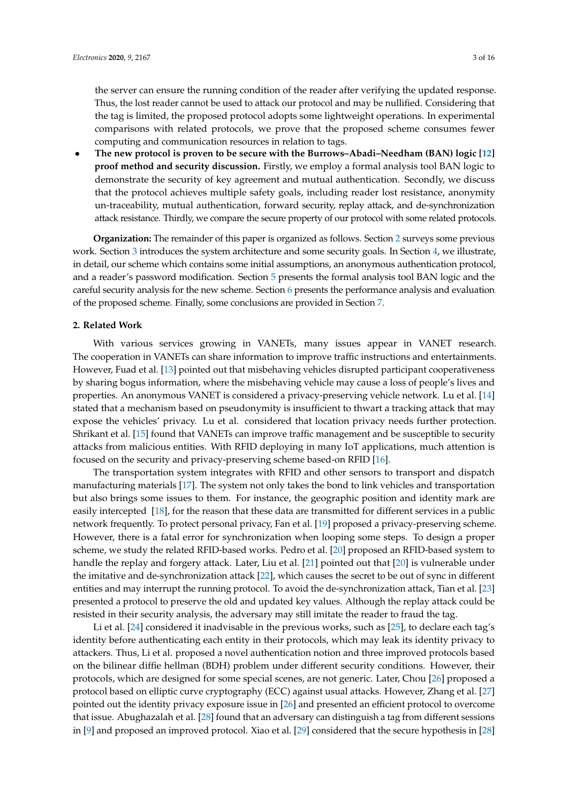the server can ensure the running condition of the reader after verifying the updated response. Thus, the lost reader cannot be used to attack our protocol and may be nullified. Considering that the tag is limited, the proposed protocol adopts some lightweight operations. In experimental comparisons with related protocols, we prove that the proposed scheme consumes fewer computing and communication resources in relation to tags.

• **The new protocol is proven to be secure with the Burrows–Abadi–Needham (BAN) logic [\[12\]](#page-14-6) proof method and security discussion.** Firstly, we employ a formal analysis tool BAN logic to demonstrate the security of key agreement and mutual authentication. Secondly, we discuss that the protocol achieves multiple safety goals, including reader lost resistance, anonymity un-traceability, mutual authentication, forward security, replay attack, and de-synchronization attack resistance. Thirdly, we compare the secure property of our protocol with some related protocols.

**Organization:** The remainder of this paper is organized as follows. Section [2](#page-2-0) surveys some previous work. Section [3](#page-3-0) introduces the system architecture and some security goals. In Section [4,](#page-4-0) we illustrate, in detail, our scheme which contains some initial assumptions, an anonymous authentication protocol, and a reader's password modification. Section [5](#page-7-0) presents the formal analysis tool BAN logic and the careful security analysis for the new scheme. Section [6](#page-11-0) presents the performance analysis and evaluation of the proposed scheme. Finally, some conclusions are provided in Section [7.](#page-13-5)

#### <span id="page-2-0"></span>**2. Related Work**

With various services growing in VANETs, many issues appear in VANET research. The cooperation in VANETs can share information to improve traffic instructions and entertainments. However, Fuad et al. [\[13\]](#page-14-7) pointed out that misbehaving vehicles disrupted participant cooperativeness by sharing bogus information, where the misbehaving vehicle may cause a loss of people's lives and properties. An anonymous VANET is considered a privacy-preserving vehicle network. Lu et al. [\[14\]](#page-14-8) stated that a mechanism based on pseudonymity is insufficient to thwart a tracking attack that may expose the vehicles' privacy. Lu et al. considered that location privacy needs further protection. Shrikant et al. [\[15\]](#page-14-9) found that VANETs can improve traffic management and be susceptible to security attacks from malicious entities. With RFID deploying in many IoT applications, much attention is focused on the security and privacy-preserving scheme based-on RFID [\[16\]](#page-14-10).

The transportation system integrates with RFID and other sensors to transport and dispatch manufacturing materials [\[17\]](#page-14-11). The system not only takes the bond to link vehicles and transportation but also brings some issues to them. For instance, the geographic position and identity mark are easily intercepted [\[18\]](#page-14-12), for the reason that these data are transmitted for different services in a public network frequently. To protect personal privacy, Fan et al. [\[19\]](#page-14-13) proposed a privacy-preserving scheme. However, there is a fatal error for synchronization when looping some steps. To design a proper scheme, we study the related RFID-based works. Pedro et al. [\[20\]](#page-14-14) proposed an RFID-based system to handle the replay and forgery attack. Later, Liu et al. [\[21\]](#page-14-15) pointed out that [\[20\]](#page-14-14) is vulnerable under the imitative and de-synchronization attack [\[22\]](#page-14-16), which causes the secret to be out of sync in different entities and may interrupt the running protocol. To avoid the de-synchronization attack, Tian et al. [\[23\]](#page-14-17) presented a protocol to preserve the old and updated key values. Although the replay attack could be resisted in their security analysis, the adversary may still imitate the reader to fraud the tag.

Li et al. [\[24\]](#page-14-18) considered it inadvisable in the previous works, such as [\[25\]](#page-14-19), to declare each tag's identity before authenticating each entity in their protocols, which may leak its identity privacy to attackers. Thus, Li et al. proposed a novel authentication notion and three improved protocols based on the bilinear diffie hellman (BDH) problem under different security conditions. However, their protocols, which are designed for some special scenes, are not generic. Later, Chou [\[26\]](#page-14-20) proposed a protocol based on elliptic curve cryptography (ECC) against usual attacks. However, Zhang et al. [\[27\]](#page-14-21) pointed out the identity privacy exposure issue in [\[26\]](#page-14-20) and presented an efficient protocol to overcome that issue. Abughazalah et al. [\[28\]](#page-14-22) found that an adversary can distinguish a tag from different sessions in [\[9\]](#page-14-3) and proposed an improved protocol. Xiao et al. [\[29\]](#page-15-0) considered that the secure hypothesis in [\[28\]](#page-14-22)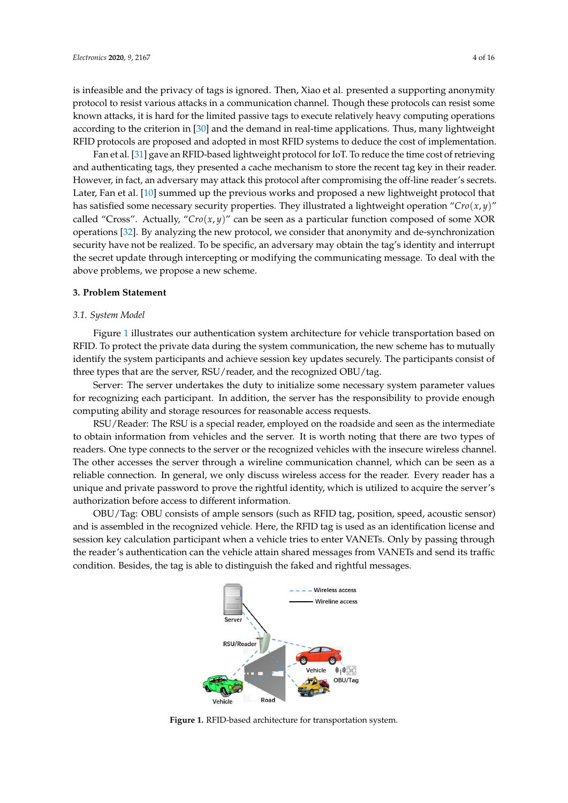is infeasible and the privacy of tags is ignored. Then, Xiao et al. presented a supporting anonymity protocol to resist various attacks in a communication channel. Though these protocols can resist some known attacks, it is hard for the limited passive tags to execute relatively heavy computing operations according to the criterion in [\[30\]](#page-15-1) and the demand in real-time applications. Thus, many lightweight RFID protocols are proposed and adopted in most RFID systems to deduce the cost of implementation.

Fan et al. [\[31\]](#page-15-2) gave an RFID-based lightweight protocol for IoT. To reduce the time cost of retrieving and authenticating tags, they presented a cache mechanism to store the recent tag key in their reader. However, in fact, an adversary may attack this protocol after compromising the off-line reader's secrets. Later, Fan et al. [\[10\]](#page-14-4) summed up the previous works and proposed a new lightweight protocol that has satisfied some necessary security properties. They illustrated a lightweight operation "*Cro*(*x*, *y*)" called "Cross". Actually, "*Cro*(*x*, *y*)" can be seen as a particular function composed of some XOR operations [\[32\]](#page-15-3). By analyzing the new protocol, we consider that anonymity and de-synchronization security have not be realized. To be specific, an adversary may obtain the tag's identity and interrupt the secret update through intercepting or modifying the communicating message. To deal with the above problems, we propose a new scheme.

#### <span id="page-3-0"></span>**3. Problem Statement**

#### *3.1. System Model*

Figure [1](#page-3-1) illustrates our authentication system architecture for vehicle transportation based on RFID. To protect the private data during the system communication, the new scheme has to mutually identify the system participants and achieve session key updates securely. The participants consist of three types that are the server, RSU/reader, and the recognized OBU/tag.

Server: The server undertakes the duty to initialize some necessary system parameter values for recognizing each participant. In addition, the server has the responsibility to provide enough computing ability and storage resources for reasonable access requests.

RSU/Reader: The RSU is a special reader, employed on the roadside and seen as the intermediate to obtain information from vehicles and the server. It is worth noting that there are two types of readers. One type connects to the server or the recognized vehicles with the insecure wireless channel. The other accesses the server through a wireline communication channel, which can be seen as a reliable connection. In general, we only discuss wireless access for the reader. Every reader has a unique and private password to prove the rightful identity, which is utilized to acquire the server's authorization before access to different information.

<span id="page-3-1"></span>OBU/Tag: OBU consists of ample sensors (such as RFID tag, position, speed, acoustic sensor) and is assembled in the recognized vehicle. Here, the RFID tag is used as an identification license and session key calculation participant when a vehicle tries to enter VANETs. Only by passing through the reader's authentication can the vehicle attain shared messages from VANETs and send its traffic condition. Besides, the tag is able to distinguish the faked and rightful messages.



**Figure 1.** RFID-based architecture for transportation system.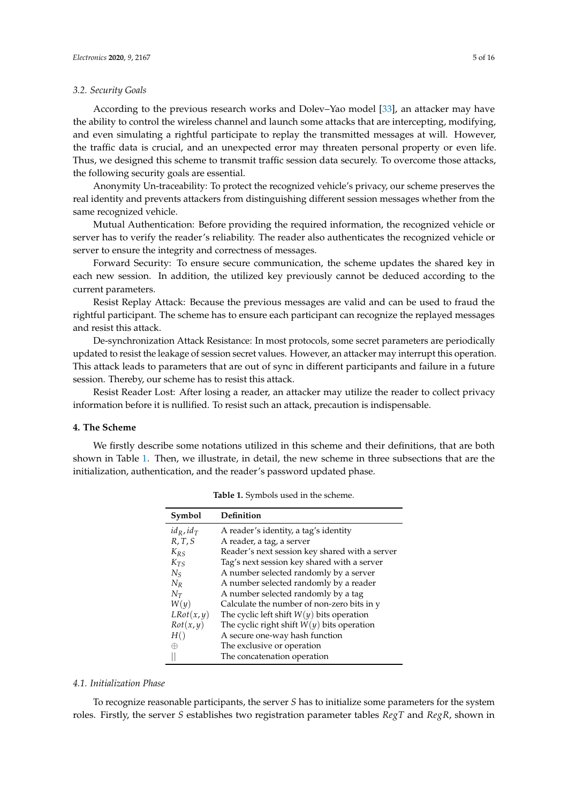#### *3.2. Security Goals*

According to the previous research works and Dolev–Yao model [\[33\]](#page-15-4), an attacker may have the ability to control the wireless channel and launch some attacks that are intercepting, modifying, and even simulating a rightful participate to replay the transmitted messages at will. However, the traffic data is crucial, and an unexpected error may threaten personal property or even life. Thus, we designed this scheme to transmit traffic session data securely. To overcome those attacks, the following security goals are essential.

Anonymity Un-traceability: To protect the recognized vehicle's privacy, our scheme preserves the real identity and prevents attackers from distinguishing different session messages whether from the same recognized vehicle.

Mutual Authentication: Before providing the required information, the recognized vehicle or server has to verify the reader's reliability. The reader also authenticates the recognized vehicle or server to ensure the integrity and correctness of messages.

Forward Security: To ensure secure communication, the scheme updates the shared key in each new session. In addition, the utilized key previously cannot be deduced according to the current parameters.

Resist Replay Attack: Because the previous messages are valid and can be used to fraud the rightful participant. The scheme has to ensure each participant can recognize the replayed messages and resist this attack.

De-synchronization Attack Resistance: In most protocols, some secret parameters are periodically updated to resist the leakage of session secret values. However, an attacker may interrupt this operation. This attack leads to parameters that are out of sync in different participants and failure in a future session. Thereby, our scheme has to resist this attack.

Resist Reader Lost: After losing a reader, an attacker may utilize the reader to collect privacy information before it is nullified. To resist such an attack, precaution is indispensable.

#### <span id="page-4-0"></span>**4. The Scheme**

<span id="page-4-1"></span>We firstly describe some notations utilized in this scheme and their definitions, that are both shown in Table [1.](#page-4-1) Then, we illustrate, in detail, the new scheme in three subsections that are the initialization, authentication, and the reader's password updated phase.

| Symbol          | Definition                                     |
|-----------------|------------------------------------------------|
| $id_R$ , $id_T$ | A reader's identity, a tag's identity          |
| R, T, S         | A reader, a tag, a server                      |
| $K_{RS}$        | Reader's next session key shared with a server |
| $K_{TS}$        | Tag's next session key shared with a server    |
| $N_{\rm S}$     | A number selected randomly by a server         |
| $N_R$           | A number selected randomly by a reader         |
| $N_T$           | A number selected randomly by a tag            |
| W(y)            | Calculate the number of non-zero bits in y     |
| LRot(x, y)      | The cyclic left shift $W(y)$ bits operation    |
| Rot(x, y)       | The cyclic right shift $W(y)$ bits operation   |
| H()             | A secure one-way hash function                 |
| ⊕               | The exclusive or operation                     |
|                 | The concatenation operation                    |

**Table 1.** Symbols used in the scheme.

#### *4.1. Initialization Phase*

To recognize reasonable participants, the server *S* has to initialize some parameters for the system roles. Firstly, the server *S* establishes two registration parameter tables *RegT* and *RegR*, shown in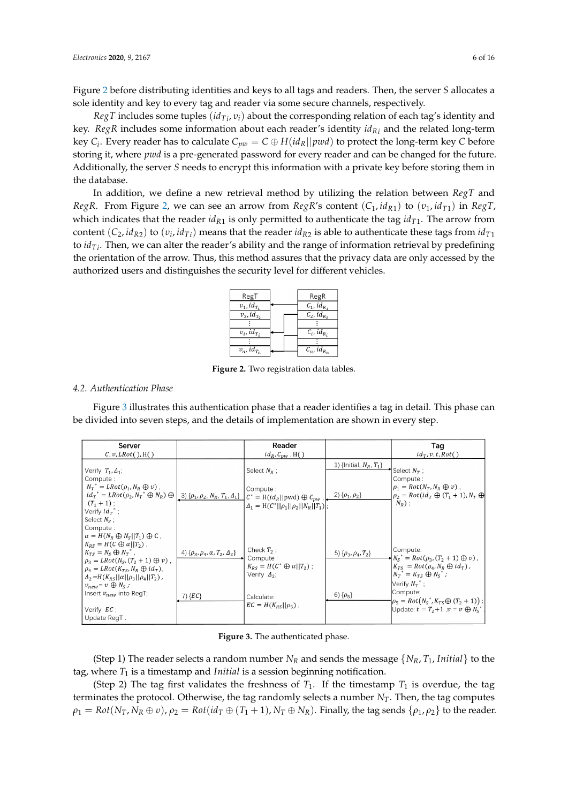Figure [2](#page-5-0) before distributing identities and keys to all tags and readers. Then, the server *S* allocates a sole identity and key to every tag and reader via some secure channels, respectively.

*RegT* includes some tuples (*idTi* , *υi*) about the corresponding relation of each tag's identity and key. *RegR* includes some information about each reader's identity *idRi* and the related long-term key  $C_i$ . Every reader has to calculate  $C_{pw} = C \oplus H(id_R||pwd)$  to protect the long-term key  $C$  before storing it, where *pwd* is a pre-generated password for every reader and can be changed for the future. Additionally, the server *S* needs to encrypt this information with a private key before storing them in the database.

<span id="page-5-0"></span>In addition, we define a new retrieval method by utilizing the relation between *RegT* and *RegR*. From Figure [2,](#page-5-0) we can see an arrow from *RegR*'s content (*C*1, *idR*<sup>1</sup> ) to (*υ*1, *idT*<sup>1</sup> ) in *RegT*, which indicates that the reader  $id_{R_1}$  is only permitted to authenticate the tag  $id_{T_1}$ . The arrow from  $\cot$  (*C*<sub>2</sub>, *id*<sub>*R*2</sub>) to (*v<sub>i</sub>*, *id*<sub>*Ti*</sub>) means that the reader *id*<sub>*R*2</sub> is able to authenticate these tags from *id*<sub>*T*1</sub> to *idTi* . Then, we can alter the reader's ability and the range of information retrieval by predefining the orientation of the arrow. Thus, this method assures that the privacy data are only accessed by the authorized users and distinguishes the security level for different vehicles.

| RegT                                              | RegR                                |
|---------------------------------------------------|-------------------------------------|
| $v_1$ , id <sub>T1</sub>                          | $C_1$ , id <sub>R</sub>             |
| $\overline{v_2, id_{T_2}}$                        | $\overline{C_2}$ , $id_{R_2}$       |
|                                                   |                                     |
| $v_i$ , id <sub>T</sub> ,                         | $C_i$ , id <sub>R<sub>i</sub></sub> |
|                                                   |                                     |
| $\overline{v_n}$ , id <sub><math>T_n</math></sub> | $C_n$ , id <sub>Rn</sub>            |

**Figure 2.** Two registration data tables.

# *4.2. Authentication Phase*

Figure [3](#page-5-1) illustrates this authentication phase that a reader identifies a tag in detail. This phase can be divided into seven steps, and the details of implementation are shown in every step.

<span id="page-5-1"></span>

| Server<br>$C, v, LRot()$ , H()                                                                                                                                                                                                                                                                                                                                                     |                                                                 | Reader<br>$id_R, C_{\text{DW}}$ , H()                                                                                                    |                                                      | Tag<br>$id_T, v, t, Rot()$                                                                                                                                                                                                                                                         |
|------------------------------------------------------------------------------------------------------------------------------------------------------------------------------------------------------------------------------------------------------------------------------------------------------------------------------------------------------------------------------------|-----------------------------------------------------------------|------------------------------------------------------------------------------------------------------------------------------------------|------------------------------------------------------|------------------------------------------------------------------------------------------------------------------------------------------------------------------------------------------------------------------------------------------------------------------------------------|
| Verify $T_1, \Delta_1$ ;<br>Compute:<br>$N_T^* = LRot(\rho_1, N_R \oplus v)$ ,<br>$id_r^* = LRot(\rho_2, N_T^* \oplus N_R) \oplus \left[ .3 \right] \{ \rho_1, \rho_2, N_R, T_1, A_1 \} \left[ C^* = H(id_R    \text{pwd}) \oplus C_{pw} \right],$<br>$(T_1 + 1)$ :<br>Verify $id_T^*$ ;<br>Select $N_{\rm s}$ :                                                                   |                                                                 | Select $N_R$ ;<br>Compute:<br>$\Delta_1 = H(C^*  \rho_1  \rho_2  N_R  T_1);$                                                             | 1) {Initial, $N_R, T_1$ }<br>2) $\{\rho_1, \rho_2\}$ | Select $N_T$ ;<br>Compute:<br>$\rho_1 = Rot(N_T, N_R \oplus v)$ ,<br>$\rho_2 = Rot(id_T \oplus (T_1 + 1), N_T \oplus$<br>$N_R$ );                                                                                                                                                  |
| Compute:<br>$\alpha = H(N_R \oplus N_S    T_1) \oplus C$ ,<br>$K_{RS} = H(C \oplus \alpha    T_2)$ .<br>$K_{Tc} = N_c \oplus N_T^*$<br>$\rho_3 = LRot(N_S, (T_2 + 1) \oplus v)$ ,<br>$\rho_4 = LRot(K_{TS}, N_R \oplus id_T),$<br>$\Delta_2 = H(K_{RS}  \alpha  \rho_3  \rho_4  T_2)$ ,<br>$v_{new} = v \oplus N_S$ ;<br>Insert $v_{new}$ into RegT;<br>Verify EC:<br>Update RegT. | 4) $\{\rho_3, \rho_4, \alpha, T_2, \Delta_2\}$<br>$7)$ { $EC$ } | Check $T_2$ :<br>Compute:<br>$K_{RS} = H(C^* \oplus \alpha    T_2)$ ;<br>Verify $\Delta_2$ ;<br>Calculate:<br>$EC = H(K_{RS}  \rho_5)$ . | 5) $\{\rho_3, \rho_4, T_2\}$<br>6) $\{\rho_5\}$      | Compute:<br>$\star N_s^* = Rot(\rho_3, (T_2 + 1) \oplus v)$ ,<br>$K_{TS} = Rot(\rho_4, N_R \oplus id_T)$ ,<br>$N_T^* = K_{TS} \oplus N_S^*$ ;<br>Verify $N_T^*$ ;<br>Compute:<br>$ \rho_5 = Rot(N_S^*, K_{TS} \oplus (T_2 + 1))$ ;<br>Update: $t = T_2 + 1$ , $v = v \oplus N_s^*$ |

**Figure 3.** The authenticated phase.

(Step 1) The reader selects a random number  $N_R$  and sends the message  $\{N_R, T_1, Initial\}$  to the tag, where *T*<sup>1</sup> is a timestamp and *Initial* is a session beginning notification.

(Step 2) The tag first validates the freshness of  $T_1$ . If the timestamp  $T_1$  is overdue, the tag terminates the protocol. Otherwise, the tag randomly selects a number *NT*. Then, the tag computes  $\rho_1 = Rot(N_T, N_R \oplus v)$ ,  $\rho_2 = Rot(id_T \oplus (T_1 + 1), N_T \oplus N_R)$ . Finally, the tag sends  $\{\rho_1, \rho_2\}$  to the reader.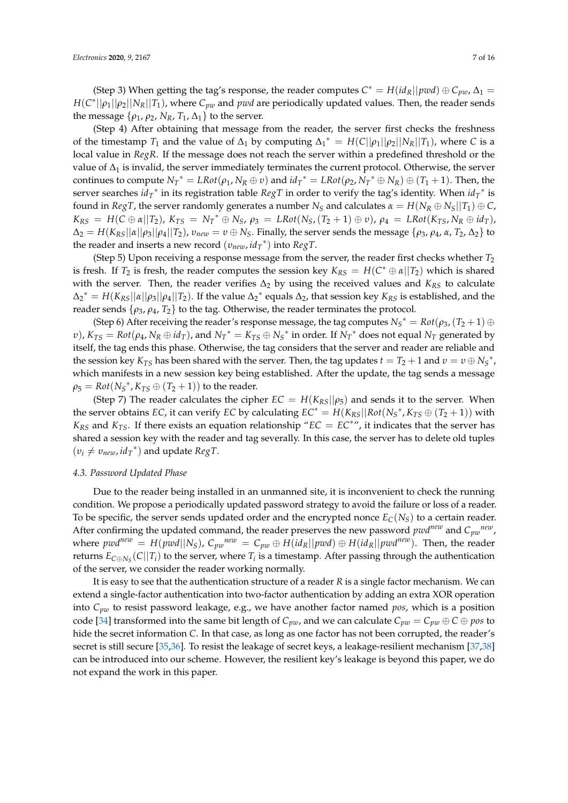(Step 3) When getting the tag's response, the reader computes  $C^* = H(id_R||pwd) \oplus C_{pw}$ ,  $\Delta_1 =$  $H(C^*||\rho_1||\rho_2||N_R||T_1)$ , where  $C_{pw}$  and *pwd* are periodically updated values. Then, the reader sends the message  $\{\rho_1, \rho_2, N_R, T_1, \Delta_1\}$  to the server.

(Step 4) After obtaining that message from the reader, the server first checks the freshness of the timestamp  $T_1$  and the value of  $\Delta_1$  by computing  $\Delta_1^* = H(C||\rho_1||\rho_2||N_R||T_1)$ , where *C* is a local value in *RegR*. If the message does not reach the server within a predefined threshold or the value of  $\Delta_1$  is invalid, the server immediately terminates the current protocol. Otherwise, the server continues to compute  $N_T^* = LRot(\rho_1, N_R \oplus v)$  and  $id_T^* = LRot(\rho_2, N_T^* \oplus N_R) \oplus (T_1 + 1)$ . Then, the server searches  $id_T^*$  in its registration table  $RegT$  in order to verify the tag's identity. When  $id_T^*$  is found in *RegT*, the server randomly generates a number  $N_S$  and calculates  $\alpha = H(N_R \oplus N_S || T_1) \oplus C$ ,  $K_{RS} = H(C \oplus \alpha || T_2)$ ,  $K_{TS} = N_T^* \oplus N_S$ ,  $\rho_3 = LRot(N_S, (T_2 + 1) \oplus v)$ ,  $\rho_4 = LRot(K_{TS}, N_R \oplus id_T)$ ,  $\Delta_2 = H(K_{RS}||\alpha||\rho_3||\rho_4||T_2)$ ,  $v_{new} = v \oplus N_S$ . Finally, the server sends the message  $\{\rho_3, \rho_4, \alpha, T_2, \Delta_2\}$  to the reader and inserts a new record (*υnew*, *id<sup>T</sup>* ∗ ) into *RegT*.

(Step 5) Upon receiving a response message from the server, the reader first checks whether *T*<sup>2</sup> is fresh. If  $T_2$  is fresh, the reader computes the session key  $K_{RS} = H(C^* \oplus \alpha || T_2)$  which is shared with the server. Then, the reader verifies Δ<sub>2</sub> by using the received values and *K*<sub>*RS*</sub> to calculate  $\Delta_2^* = H(K_{RS}||\alpha||\rho_3||\rho_4||T_2)$ . If the value  $\Delta_2^*$  equals  $\Delta_2$ , that session key  $K_{RS}$  is established, and the reader sends  $\{ \rho_3, \rho_4, T_2 \}$  to the tag. Otherwise, the reader terminates the protocol.

(Step 6) After receiving the reader's response message, the tag computes  $N_S^* = Rot(\rho_3, (T_2 + 1) \oplus$  $(v)$ ,  $K_{TS} = Rot(\rho_4, N_R \oplus id_T)$ , and  $N_T^* = K_{TS} \oplus N_S^*$  in order. If  $N_T^*$  does not equal  $N_T$  generated by itself, the tag ends this phase. Otherwise, the tag considers that the server and reader are reliable and the session key  $K_{TS}$  has been shared with the server. Then, the tag updates  $t = T_2 + 1$  and  $v = v \oplus N_S^*$ , which manifests in a new session key being established. After the update, the tag sends a message  $\rho_5 = Rot(N_S^*, K_{TS} \oplus (T_2+1))$  to the reader.

(Step 7) The reader calculates the cipher  $EC = H(K_{RS}||\rho_5)$  and sends it to the server. When the server obtains *EC*, it can verify *EC* by calculating  $EC^* = H(K_{RS}||Rot(N_S^*, K_{TS} \oplus (T_2 + 1))$  with  $K_{RS}$  and  $K_{TS}$ . If there exists an equation relationship " $EC = EC^*$ ", it indicates that the server has shared a session key with the reader and tag severally. In this case, the server has to delete old tuples  $(v_i \neq v_{new}, id_T^*)$  and update  $RegT$ .

# *4.3. Password Updated Phase*

Due to the reader being installed in an unmanned site, it is inconvenient to check the running condition. We propose a periodically updated password strategy to avoid the failure or loss of a reader. To be specific, the server sends updated order and the encrypted nonce  $E_C(N_S)$  to a certain reader. After confirming the updated command, the reader preserves the new password  $pwd^{new}$  and  $C_{pw}^{new}$ , where  $pwd^{new} = H(pwd||N_S)$ ,  $C_{pw}^{new} = C_{pw} \oplus H(id_R||pwd) \oplus H(id_R||pwd^{new})$ . Then, the reader returns  $E_{\text{C}\oplus N_S}(C||T_i)$  to the server, where  $T_i$  is a timestamp. After passing through the authentication of the server, we consider the reader working normally.

It is easy to see that the authentication structure of a reader *R* is a single factor mechanism. We can extend a single-factor authentication into two-factor authentication by adding an extra XOR operation into *Cpw* to resist password leakage, e.g., we have another factor named *pos*, which is a position code [\[34\]](#page-15-5) transformed into the same bit length of  $C_{pv}$ , and we can calculate  $C_{pv} = C_{pv} \oplus C \oplus pos$  to hide the secret information *C*. In that case, as long as one factor has not been corrupted, the reader's secret is still secure [\[35,](#page-15-6)[36\]](#page-15-7). To resist the leakage of secret keys, a leakage-resilient mechanism [\[37](#page-15-8)[,38\]](#page-15-9) can be introduced into our scheme. However, the resilient key's leakage is beyond this paper, we do not expand the work in this paper.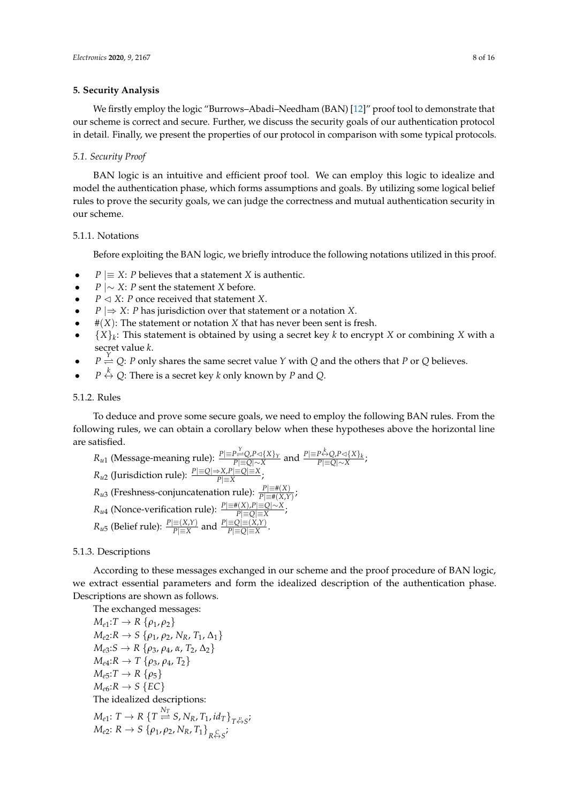# <span id="page-7-0"></span>**5. Security Analysis**

We firstly employ the logic "Burrows–Abadi–Needham (BAN) [\[12\]](#page-14-6)" proof tool to demonstrate that our scheme is correct and secure. Further, we discuss the security goals of our authentication protocol in detail. Finally, we present the properties of our protocol in comparison with some typical protocols.

#### *5.1. Security Proof*

BAN logic is an intuitive and efficient proof tool. We can employ this logic to idealize and model the authentication phase, which forms assumptions and goals. By utilizing some logical belief rules to prove the security goals, we can judge the correctness and mutual authentication security in our scheme.

# 5.1.1. Notations

Before exploiting the BAN logic, we briefly introduce the following notations utilized in this proof.

- *P*  $|\equiv X$ : *P* believes that a statement *X* is authentic.
- *P* |∼ *X*: *P* sent the statement *X* before.
- $P \triangleleft X$ : *P* once received that statement *X*.
- *P* |⇒ *X*: *P* has jurisdiction over that statement or a notation *X*.
- $\bullet$  # $(X)$ : The statement or notation *X* that has never been sent is fresh.
- {*X*}*<sup>k</sup>* : This statement is obtained by using a secret key *k* to encrypt *X* or combining *X* with a secret value *k*.
- $P \stackrel{Y}{\rightleftharpoons} Q$ : *P* only shares the same secret value *Y* with *Q* and the others that *P* or *Q* believes.
- $P \stackrel{k}{\leftrightarrow} Q$ : There is a secret key *k* only known by *P* and *Q*.

# 5.1.2. Rules

To deduce and prove some secure goals, we need to employ the following BAN rules. From the following rules, we can obtain a corollary below when these hypotheses above the horizontal line are satisfied.

*R<sub>u1</sub>* (Message-meaning rule): 
$$
\frac{P| = P \overset{Y}{\rightarrow} Q \cdot P \triangleleft \{X\}_Y}{P| = Q| \sim X}
$$
 and  $\frac{P| = P \overset{Y}{\rightarrow} Q \cdot P \triangleleft \{X\}_k}{P| = Q| \sim X}$ ; *R<sub>u2</sub>* (Jurisdiction rule):  $\frac{P| = Q| \Rightarrow X \cdot P| = Q| = X}{P| = X}$ ; *R<sub>u3</sub>* (Freshness-conjunction rule):  $\frac{P| = \#(X)}{P| = \#(X,Y)}$ ; *R<sub>u4</sub>* (Nonce-verification rule):  $\frac{P| = \#(X) \cdot P| = Q| \sim X}{P| = Q| = X}$ ; *R<sub>u5</sub>* (Belief rule):  $\frac{P| = (X,Y)}{P| = X}$  and  $\frac{P| = Q| = (X,Y)}{P| = Q| = X}$ .

# 5.1.3. Descriptions

According to these messages exchanged in our scheme and the proof procedure of BAN logic, we extract essential parameters and form the idealized description of the authentication phase. Descriptions are shown as follows.

The exchanged messages:

 $M_{e1}: T \rightarrow R \{\rho_1, \rho_2\}$  $M_{e2}:R → S$  { $ρ_1, ρ_2, N_R, T_1, Δ_1$ }  $M_{e3}:S$  → *R* { $ρ_3$ ,  $ρ_4$ ,  $α$ ,  $T_2$ ,  $Δ_2$ }  $M_{e4}:R → T {ρ_3, ρ_4, T_2}$  $M_{e5}:T\rightarrow R\{\rho_5\}$  $M_{e6}:R \rightarrow S$  {*EC*} The idealized descriptions:  $M_{e1}: T \rightarrow R \{T \stackrel{N_T}{\rightleftharpoons} S, N_R, T_1, id_T\}_{T \stackrel{v}{\leftrightarrow} S}$ ; *M*<sub>e2</sub>: *R* → *S* { $ρ_1$ ,  $ρ_2$ ,  $N_R$ ,  $T_1$ }<sub>*R*</sub> $\xi$ , *S*<sup>;</sup>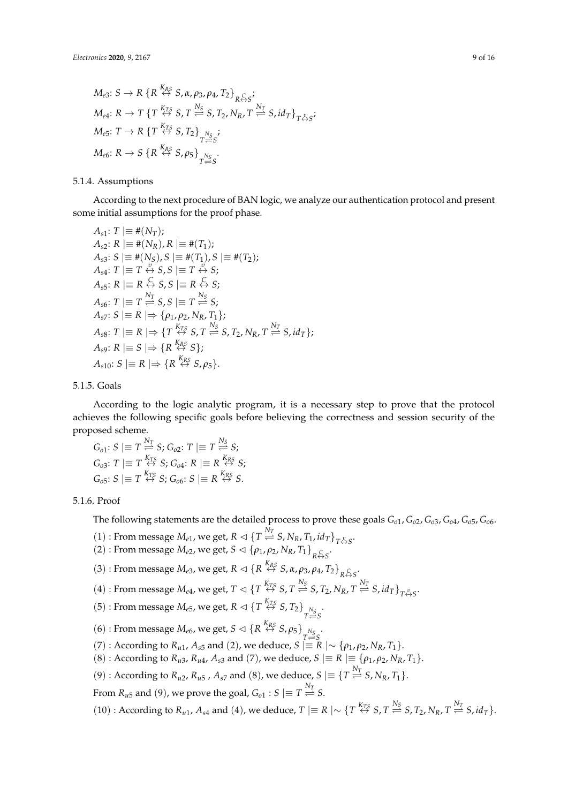$$
M_{e3}: S \to R \{R \stackrel{K_{RS}}{\leftrightarrow} S, \alpha, \rho_3, \rho_4, T_2\}_{R \stackrel{\subset}{\leftrightarrow} S};
$$
  
\n
$$
M_{e4}: R \to T \{T \stackrel{K_{TS}}{\leftrightarrow} S, T \stackrel{N_S}{\rightleftharpoons} S, T_2, N_R, T \stackrel{N_T}{\rightleftharpoons} S, id_T\}_{T \stackrel{\nu}{\leftrightarrow} S};
$$
  
\n
$$
M_{e5}: T \to R \{T \stackrel{K_{TS}}{\leftrightarrow} S, T_2\}_{T \stackrel{N_S}{\rightleftharpoons} S};
$$
  
\n
$$
M_{e6}: R \to S \{R \stackrel{K_{RS}}{\leftrightarrow} S, \rho_5\}_{T \stackrel{N_S}{\rightleftharpoons} S}.
$$

# 5.1.4. Assumptions

According to the next procedure of BAN logic, we analyze our authentication protocol and present some initial assumptions for the proof phase.

$$
A_{s1}: T \mid \equiv \#(N_T);
$$
  
\n
$$
A_{s2}: R \mid \equiv \#(N_R), R \mid \equiv \#(T_1);
$$
  
\n
$$
A_{s3}: S \mid \equiv \#(N_S), S \mid \equiv \#(T_1), S \mid \equiv \#(T_2);
$$
  
\n
$$
A_{s4}: T \mid \equiv T \stackrel{\psi}{\leftrightarrow} S, S \mid \equiv T \stackrel{\psi}{\leftrightarrow} S;
$$
  
\n
$$
A_{s5}: R \mid \equiv R \stackrel{\mathbb{C}}{\leftrightarrow} S, S \mid \equiv R \stackrel{\mathbb{C}}{\leftrightarrow} S;
$$
  
\n
$$
A_{s6}: T \mid \equiv T \stackrel{N_T}{\leftrightarrow} S, S \mid \equiv T \stackrel{N_S}{\leftrightarrow} S;
$$
  
\n
$$
A_{s7}: S \mid \equiv R \mid \Rightarrow \{ \rho_1, \rho_2, N_R, T_1 \};
$$
  
\n
$$
A_{s8}: T \mid \equiv R \mid \Rightarrow \{ T \stackrel{K_{TS}}{\leftrightarrow} S, T \stackrel{N_S}{\Longrightarrow} S, T_2, N_R, T \stackrel{N_T}{\Longrightarrow} S, id_T \};
$$
  
\n
$$
A_{s9}: R \mid \equiv S \mid \Rightarrow \{ R \stackrel{K_{RS}}{\leftrightarrow} S \};
$$
  
\n
$$
A_{s10}: S \mid \equiv R \mid \Rightarrow \{ R \stackrel{K_{RS}}{\leftrightarrow} S, \rho_5 \}.
$$

# 5.1.5. Goals

According to the logic analytic program, it is a necessary step to prove that the protocol achieves the following specific goals before believing the correctness and session security of the proposed scheme.

$$
G_{o1}: S \mid \equiv T \stackrel{N_T}{\rightleftharpoons} S; G_{o2}: T \mid \equiv T \stackrel{N_S}{\rightleftharpoons} S; G_{o3}: T \mid \equiv T \stackrel{K_{TS}}{\Leftrightarrow} S; G_{o4}: R \mid \equiv R \stackrel{K_{RS}}{\Leftrightarrow} S; G_{o5}: S \mid \equiv T \stackrel{K_{TS}}{\Leftrightarrow} S; G_{o6}: S \mid \equiv R \stackrel{K_{RS}}{\Leftrightarrow} S.
$$

#### 5.1.6. Proof

The following statements are the detailed process to prove these goals  $G_{01}$ ,  $G_{02}$ ,  $G_{03}$ ,  $G_{04}$ ,  $G_{05}$ ,  $G_{06}$ .

- $(1)$ : From message  $M_{e1}$ , we get,  $R \lhd \{T \stackrel{N_T}{\rightleftharpoons} S, N_R, T_1, id_T\}_{T \stackrel{\nu}{\leftrightarrow} S}$ .
- $(2)$ : From message  $M_{e2}$ , we get,  $S \lhd {\rho_1, \rho_2, N_R, T_1}_{R \leftrightarrow S}$ .
- (3) : From message  $M_{e3}$ , we get,  $R \lhd \{R \stackrel{K_{RS}}{\leftrightarrow} S, \alpha, \rho_3, \rho_4, T_2\}_{R \stackrel{C}{\leftrightarrow} S}$ .
- (4) : From message  $M_{e4}$ , we get,  $T \lhd \{T \stackrel{K_{TS}}{\leftrightarrow} S, T \stackrel{N_S}{\rightleftharpoons} S, T_2, N_R, T \stackrel{N_T}{\rightleftharpoons} S, id_T\}_{T \stackrel{\nu}{\leftrightarrow} S}.$
- (5) : From message  $M_{e5}$ , we get,  $R \lhd \{T \stackrel{K_{TS}}{\leftrightarrow} S, T_2\}_{\substack{N_S \ N \to e}}$ *T S*
- (6) : From message  $M_{e6}$ , we get,  $S \lhd \{R \stackrel{K_{RS}}{\leftrightarrow} S, \rho_5\}_{\substack{N_S \ N \to \infty}}$
- *(7)* : According to *R*<sub>*u*1</sub>, *A*<sub>*s*5</sub> and (2), we deduce, *S* |≡ *R* |∼ {*ρ*<sub>1</sub>, *ρ*<sub>2</sub>, *N*<sub>*R*</sub>, *T*<sub>1</sub>}.
- $(8)$ : According to *R<sub>u</sub>*3, *R<sub>u</sub>*4, *A*<sub>*s*3</sub> and (7), we deduce, *S*  $|\equiv R| \equiv \{ \rho_1, \rho_2, N_R, T_1 \}.$
- $(9)$  : According to  $R_{u2}$ ,  $R_{u5}$ ,  $A_{s7}$  and  $(8)$ , we deduce,  $S \mid \equiv \{T \stackrel{N_T}{\rightleftharpoons} S$ ,  $N_R$ ,  $T_1\}$ .

From  $R_{u5}$  and (9), we prove the goal,  $G_{o1}: S \mid \equiv T \stackrel{N_T}{\rightleftharpoons} S.$ 

(10) : According to  $R_{u1}$ ,  $A_{s4}$  and (4), we deduce,  $T \mid \equiv R \mid \sim \{T \stackrel{K_{TS}}{\leftrightarrow} S, T \stackrel{N_S}{\rightleftharpoons} S, T_2, N_R, T \stackrel{N_T}{\rightleftharpoons} S, id_T\}.$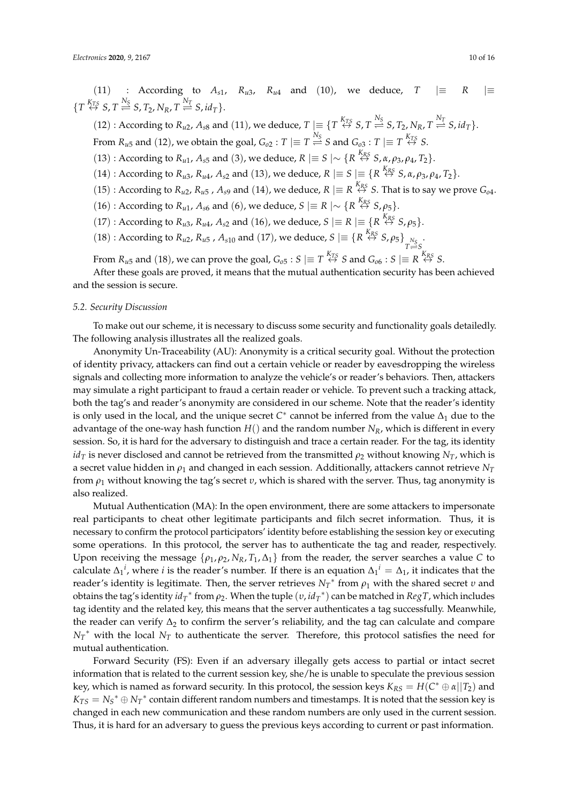(11) : According to  $A_{s1}$ ,  $R_{u3}$ ,  $R_{u4}$  and (10), we deduce,  $T \equiv R \equiv$  $\{T \stackrel{K_{TS}}{\leftrightarrow} S, T \stackrel{N_S}{\rightleftharpoons} S, T_2, N_R, T \stackrel{N_T}{\rightleftharpoons} S, id_T\}.$ 

(12) : According to  $R_{u2}$ ,  $A_{s8}$  and (11), we deduce,  $T \mid \equiv \{T \stackrel{K_{TS}}{\leftrightarrow} S, T \stackrel{N_S}{\rightleftharpoons} S, T_2, N_R, T \stackrel{N_T}{\rightleftharpoons} S, id_T\}.$ From  $R_{u5}$  and  $(12)$ , we obtain the goal,  $G_{o2}: T \mid \equiv T \stackrel{N_S}{\iff} S$  and  $G_{o3}: T \mid \equiv T \stackrel{K_{TS}}{\iff} S.$ 

(13) : According to *R*<sub>*u*1</sub>, *A*<sub>*s*5</sub> and (3), we deduce, *R*  $|\equiv S|$  ∼ {*R*<sup>*K<sub>RS</sub>*</sup> *S*, *α*, *ρ*<sub>3</sub>, *ρ*<sub>4</sub>, *T*<sub>2</sub>}.

 $(14)$ : According to  $R_{u3}$ ,  $R_{u4}$ ,  $A_{s2}$  and  $(13)$ , we deduce,  $R \mid \equiv S \mid \equiv \{R \stackrel{K_{RS}}{\leftrightarrow} S, \alpha, \rho_3, \rho_4, T_2\}.$ 

- $(15)$ : According to  $R_{u2}$ ,  $R_{u5}$ ,  $A_{s9}$  and  $(14)$ , we deduce,  $R \mid \equiv R \stackrel{K_{RS}}{\leftrightarrow} S$ . That is to say we prove  $G_{o4}$ .
- (16) : According to *R*<sub>*u*1</sub>, *A*<sub>*s*6</sub> and (6), we deduce, *S*  $\equiv$  *R*  $\sim$  {*R*<sup>*K<sub>R</sub>S</sub> S*,  $\rho$ <sub>5</sub>}.</sup>
- $(17)$ : According to  $R_{u3}$ ,  $R_{u4}$ ,  $A_{s2}$  and  $(16)$ , we deduce,  $S \equiv R \equiv \{R \stackrel{K_{RS}}{\leftrightarrow} S$ ,  $\rho_5\}$ .
- $(18)$ : According to  $R_{u2}$ ,  $R_{u5}$ ,  $A_{s10}$  and  $(17)$ , we deduce,  $S \mid \equiv \{R \leftrightarrow R_{R}^{K_{R}S} S, \rho_{5}\}_{\substack{N_S \ N_S \to \infty}}$  $T \stackrel{\simeq}{\Longrightarrow} S$

From  $R_{u5}$  and  $(18)$ , we can prove the goal,  $G_{o5}$  :  $S \mid \equiv T \stackrel{K_{TS}}{\leftrightarrow} S$  and  $G_{o6}$  :  $S \mid \equiv R \stackrel{K_{RS}}{\leftrightarrow} S$ .

After these goals are proved, it means that the mutual authentication security has been achieved and the session is secure.

# *5.2. Security Discussion*

To make out our scheme, it is necessary to discuss some security and functionality goals detailedly. The following analysis illustrates all the realized goals.

Anonymity Un-Traceability (AU): Anonymity is a critical security goal. Without the protection of identity privacy, attackers can find out a certain vehicle or reader by eavesdropping the wireless signals and collecting more information to analyze the vehicle's or reader's behaviors. Then, attackers may simulate a right participant to fraud a certain reader or vehicle. To prevent such a tracking attack, both the tag's and reader's anonymity are considered in our scheme. Note that the reader's identity is only used in the local, and the unique secret  $C^*$  cannot be inferred from the value  $\Delta_1$  due to the advantage of the one-way hash function *H*() and the random number *NR*, which is different in every session. So, it is hard for the adversary to distinguish and trace a certain reader. For the tag, its identity  $id<sub>T</sub>$  is never disclosed and cannot be retrieved from the transmitted  $\rho$ <sub>2</sub> without knowing *N*<sub>*T*</sub>, which is a secret value hidden in *ρ*<sup>1</sup> and changed in each session. Additionally, attackers cannot retrieve *N<sup>T</sup>* from *ρ*<sup>1</sup> without knowing the tag's secret *υ*, which is shared with the server. Thus, tag anonymity is also realized.

Mutual Authentication (MA): In the open environment, there are some attackers to impersonate real participants to cheat other legitimate participants and filch secret information. Thus, it is necessary to confirm the protocol participators' identity before establishing the session key or executing some operations. In this protocol, the server has to authenticate the tag and reader, respectively. Upon receiving the message  $\{\rho_1, \rho_2, N_R, T_1, \Delta_1\}$  from the reader, the server searches a value *C* to calculate  $\Delta_1^i$ , where *i* is the reader's number. If there is an equation  $\Delta_1^i = \Delta_1$ , it indicates that the reader's identity is legitimate. Then, the server retrieves  $N_T^*$  from  $ρ_1$  with the shared secret *v* and obtains the tag's identity *id<sup>T</sup>* ∗ from *ρ*2. When the tuple (*υ*, *id<sup>T</sup>* ∗ ) can be matched in *RegT*, which includes tag identity and the related key, this means that the server authenticates a tag successfully. Meanwhile, the reader can verify  $\Delta_2$  to confirm the server's reliability, and the tag can calculate and compare  $N_T^*$  with the local  $N_T$  to authenticate the server. Therefore, this protocol satisfies the need for mutual authentication.

Forward Security (FS): Even if an adversary illegally gets access to partial or intact secret information that is related to the current session key, she/he is unable to speculate the previous session key, which is named as forward security. In this protocol, the session keys  $K_{RS} = H(C^* \oplus \alpha || T_2)$  and  $K_{TS} = N_S^* \oplus N_T^*$  contain different random numbers and timestamps. It is noted that the session key is changed in each new communication and these random numbers are only used in the current session. Thus, it is hard for an adversary to guess the previous keys according to current or past information.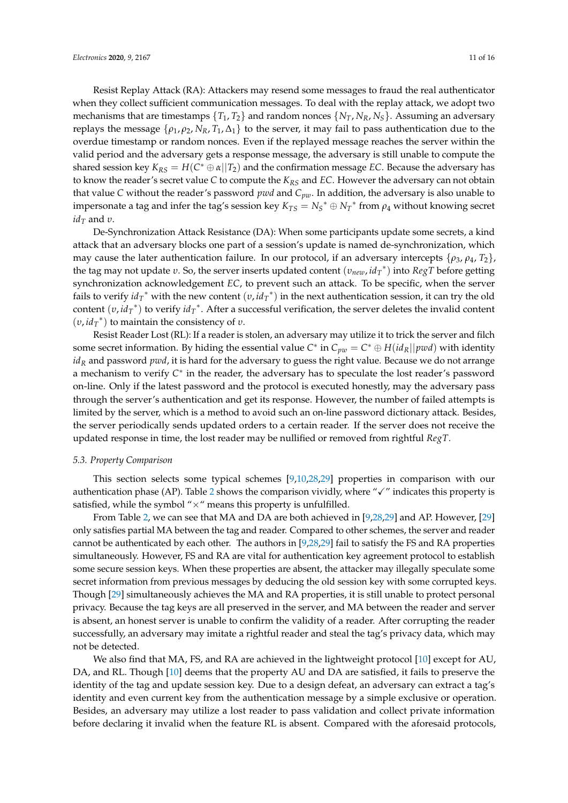Resist Replay Attack (RA): Attackers may resend some messages to fraud the real authenticator when they collect sufficient communication messages. To deal with the replay attack, we adopt two mechanisms that are timestamps  $\{T_1, T_2\}$  and random nonces  $\{N_T, N_R, N_S\}$ . Assuming an adversary replays the message  $\{ \rho_1, \rho_2, N_R, T_1, \Delta_1 \}$  to the server, it may fail to pass authentication due to the overdue timestamp or random nonces. Even if the replayed message reaches the server within the valid period and the adversary gets a response message, the adversary is still unable to compute the shared session key  $K_{RS} = H(C^* \oplus \alpha || T_2)$  and the confirmation message *EC*. Because the adversary has to know the reader's secret value *C* to compute the *KRS* and *EC*. However the adversary can not obtain that value *C* without the reader's password *pwd* and *Cpw*. In addition, the adversary is also unable to impersonate a tag and infer the tag's session key  $K_{TS} = N_S^* \oplus N_T^*$  from  $\rho_4$  without knowing secret  $id<sub>T</sub>$  and *υ*.

De-Synchronization Attack Resistance (DA): When some participants update some secrets, a kind attack that an adversary blocks one part of a session's update is named de-synchronization, which may cause the later authentication failure. In our protocol, if an adversary intercepts  $\{\rho_3, \rho_4, T_2\}$ , the tag may not update *υ*. So, the server inserts updated content (*υnew*, *id<sup>T</sup>* ∗ ) into *RegT* before getting synchronization acknowledgement *EC*, to prevent such an attack. To be specific, when the server fails to verify  $id_T^*$  with the new content  $(v, id_T^*)$  in the next authentication session, it can try the old content (*υ*, *id<sup>T</sup>* ∗ ) to verify *id<sup>T</sup>* ∗ . After a successful verification, the server deletes the invalid content  $(v, id_T^*)$  to maintain the consistency of *υ*.

Resist Reader Lost (RL): If a reader is stolen, an adversary may utilize it to trick the server and filch some secret information. By hiding the essential value  $C^*$  in  $C_{pw} = C^* \oplus H(id_R||pwd)$  with identity *id<sup>R</sup>* and password *pwd*, it is hard for the adversary to guess the right value. Because we do not arrange a mechanism to verify C<sup>\*</sup> in the reader, the adversary has to speculate the lost reader's password on-line. Only if the latest password and the protocol is executed honestly, may the adversary pass through the server's authentication and get its response. However, the number of failed attempts is limited by the server, which is a method to avoid such an on-line password dictionary attack. Besides, the server periodically sends updated orders to a certain reader. If the server does not receive the updated response in time, the lost reader may be nullified or removed from rightful *RegT*.

#### *5.3. Property Comparison*

This section selects some typical schemes [\[9,](#page-14-3)[10,](#page-14-4)[28,](#page-14-22)[29\]](#page-15-0) properties in comparison with our authentication phase (AP). Table [2](#page-11-1) shows the comparison vividly, where " $\checkmark$ " indicates this property is satisfied, while the symbol " $\times$ " means this property is unfulfilled.

From Table [2,](#page-11-1) we can see that MA and DA are both achieved in [\[9](#page-14-3)[,28](#page-14-22)[,29\]](#page-15-0) and AP. However, [\[29\]](#page-15-0) only satisfies partial MA between the tag and reader. Compared to other schemes, the server and reader cannot be authenticated by each other. The authors in [\[9](#page-14-3)[,28](#page-14-22)[,29\]](#page-15-0) fail to satisfy the FS and RA properties simultaneously. However, FS and RA are vital for authentication key agreement protocol to establish some secure session keys. When these properties are absent, the attacker may illegally speculate some secret information from previous messages by deducing the old session key with some corrupted keys. Though [\[29\]](#page-15-0) simultaneously achieves the MA and RA properties, it is still unable to protect personal privacy. Because the tag keys are all preserved in the server, and MA between the reader and server is absent, an honest server is unable to confirm the validity of a reader. After corrupting the reader successfully, an adversary may imitate a rightful reader and steal the tag's privacy data, which may not be detected.

We also find that MA, FS, and RA are achieved in the lightweight protocol [\[10\]](#page-14-4) except for AU, DA, and RL. Though [\[10\]](#page-14-4) deems that the property AU and DA are satisfied, it fails to preserve the identity of the tag and update session key. Due to a design defeat, an adversary can extract a tag's identity and even current key from the authentication message by a simple exclusive or operation. Besides, an adversary may utilize a lost reader to pass validation and collect private information before declaring it invalid when the feature RL is absent. Compared with the aforesaid protocols,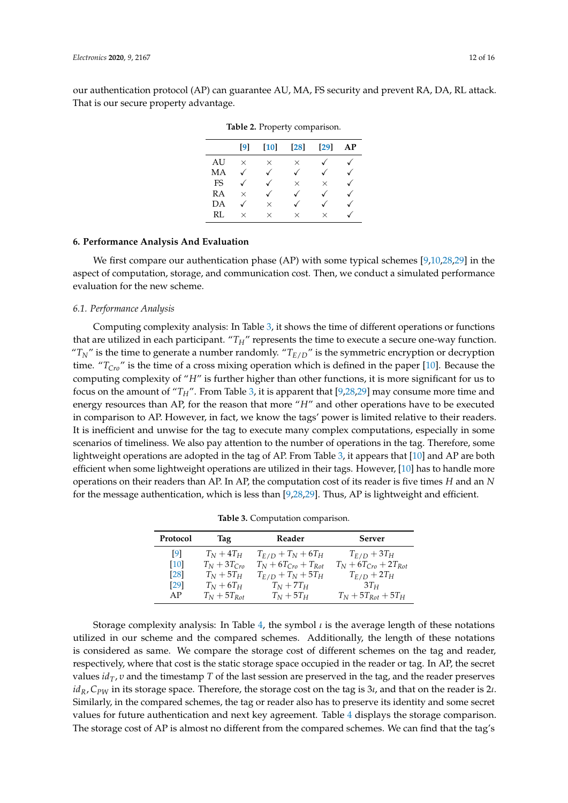<span id="page-11-1"></span>our authentication protocol (AP) can guarantee AU, MA, FS security and prevent RA, DA, RL attack. That is our secure property advantage.

|           | [9]      | [10]         | $\left[28\right]$ | $\left[29\right]$ | AP |
|-----------|----------|--------------|-------------------|-------------------|----|
| AU        | $\times$ | $\times$     | $\times$          |                   |    |
| МA        |          | $\checkmark$ | $\checkmark$      |                   |    |
| <b>FS</b> |          |              | $\times$          | $\times$          |    |
| RA        | $\times$ |              | $\checkmark$      |                   |    |
| DА        |          | $\times$     |                   |                   |    |
| RL        | $\times$ | $\times$     | $\times$          | $\times$          |    |

**Table 2.** Property comparison.

# <span id="page-11-0"></span>**6. Performance Analysis And Evaluation**

We first compare our authentication phase (AP) with some typical schemes [\[9,](#page-14-3)[10,](#page-14-4)[28,](#page-14-22)[29\]](#page-15-0) in the aspect of computation, storage, and communication cost. Then, we conduct a simulated performance evaluation for the new scheme.

#### *6.1. Performance Analysis*

Computing complexity analysis: In Table [3,](#page-11-2) it shows the time of different operations or functions that are utilized in each participant. "*TH*" represents the time to execute a secure one-way function. " $T_N$ " is the time to generate a number randomly. " $T_{E/D}$ " is the symmetric encryption or decryption time. "*TCro*" is the time of a cross mixing operation which is defined in the paper [\[10\]](#page-14-4). Because the computing complexity of "*H*" is further higher than other functions, it is more significant for us to focus on the amount of "*TH*". From Table [3,](#page-11-2) it is apparent that [\[9,](#page-14-3)[28,](#page-14-22)[29\]](#page-15-0) may consume more time and energy resources than AP, for the reason that more "*H*" and other operations have to be executed in comparison to AP. However, in fact, we know the tags' power is limited relative to their readers. It is inefficient and unwise for the tag to execute many complex computations, especially in some scenarios of timeliness. We also pay attention to the number of operations in the tag. Therefore, some lightweight operations are adopted in the tag of AP. From Table [3,](#page-11-2) it appears that [\[10\]](#page-14-4) and AP are both efficient when some lightweight operations are utilized in their tags. However, [\[10\]](#page-14-4) has to handle more operations on their readers than AP. In AP, the computation cost of its reader is five times *H* and an *N* for the message authentication, which is less than [\[9](#page-14-3)[,28](#page-14-22)[,29\]](#page-15-0). Thus, AP is lightweight and efficient.

| Table 3. Computation comparison. |  |
|----------------------------------|--|
|                                  |  |
|                                  |  |

<span id="page-11-2"></span>

| Protocol | Tag              | Reader                     | <b>Server</b>               |
|----------|------------------|----------------------------|-----------------------------|
| [9]      | $T_N+4T_H$       | $T_{E/D} + T_N + 6T_H$     | $T_{E/D} + 3T_H$            |
| [10]     | $T_N + 3T_{Cro}$ | $T_N + 6T_{Cro} + T_{Rot}$ | $T_N + 6T_{Cr0} + 2T_{Rot}$ |
| [28]     | $T_N+5T_H$       | $T_{E/D} + T_N + 5T_H$     | $T_{E/D} + 2T_H$            |
| [29]     | $T_N+6T_H$       | $T_N+7T_H$                 | $3T_H$                      |
| AP       | $T_N + 5T_{Rot}$ | $T_N+5T_H$                 | $T_N + 5T_{Rot} + 5T_H$     |

Storage complexity analysis: In Table [4,](#page-12-0) the symbol *ι* is the average length of these notations utilized in our scheme and the compared schemes. Additionally, the length of these notations is considered as same. We compare the storage cost of different schemes on the tag and reader, respectively, where that cost is the static storage space occupied in the reader or tag. In AP, the secret values *idT*, *υ* and the timestamp *T* of the last session are preserved in the tag, and the reader preserves *idR*, *CPW* in its storage space. Therefore, the storage cost on the tag is 3*ι*, and that on the reader is 2*ι*. Similarly, in the compared schemes, the tag or reader also has to preserve its identity and some secret values for future authentication and next key agreement. Table [4](#page-12-0) displays the storage comparison. The storage cost of AP is almost no different from the compared schemes. We can find that the tag's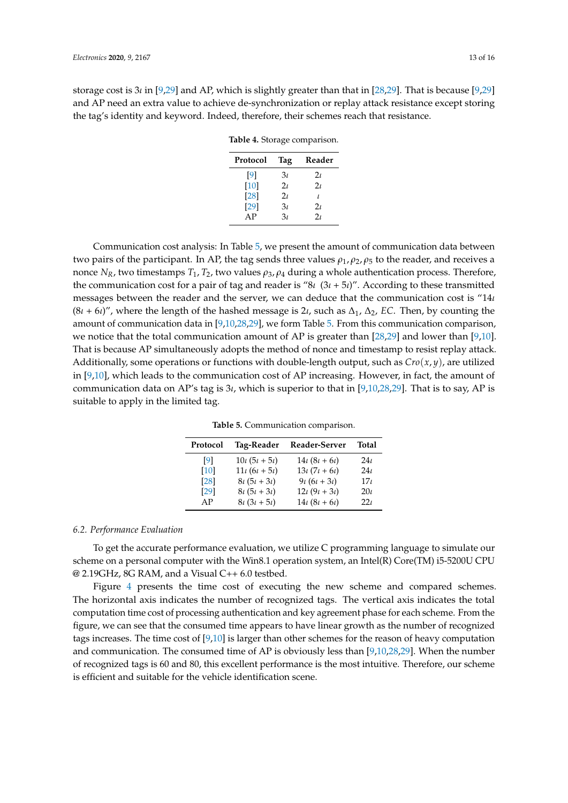<span id="page-12-0"></span>storage cost is 3*ι* in [\[9,](#page-14-3)[29\]](#page-15-0) and AP, which is slightly greater than that in [\[28,](#page-14-22)[29\]](#page-15-0). That is because [\[9](#page-14-3)[,29\]](#page-15-0) and AP need an extra value to achieve de-synchronization or replay attack resistance except storing the tag's identity and keyword. Indeed, therefore, their schemes reach that resistance.

**Table 4.** Storage comparison.

| Protocol | Tag            | Reader         |
|----------|----------------|----------------|
| [9]      | 3 <sub>t</sub> | $2\iota$       |
| [10]     | 2 <sub>t</sub> | 2 <sub>L</sub> |
| $[28]$   | 2 <sub>t</sub> | $\prime$       |
| $[29]$   | 3 <sub>t</sub> | 2 <sub>L</sub> |
| AP       | 3 <sub>t</sub> | 2 <sub>1</sub> |

Communication cost analysis: In Table [5,](#page-12-1) we present the amount of communication data between two pairs of the participant. In AP, the tag sends three values  $\rho_1$ ,  $\rho_2$ ,  $\rho_5$  to the reader, and receives a nonce  $N_R$ , two timestamps  $T_1$ ,  $T_2$ , two values  $\rho_3$ ,  $\rho_4$  during a whole authentication process. Therefore, the communication cost for a pair of tag and reader is "8*ι* (3*ι* + 5*ι*)". According to these transmitted messages between the reader and the server, we can deduce that the communication cost is "14*ι*  $(8*i* + 6*i*)''$ , where the length of the hashed message is 2*ι*, such as  $\Delta_1$ ,  $\Delta_2$ , *EC*. Then, by counting the amount of communication data in [\[9,](#page-14-3)[10,](#page-14-4)[28](#page-14-22)[,29\]](#page-15-0), we form Table [5.](#page-12-1) From this communication comparison, we notice that the total communication amount of AP is greater than [\[28,](#page-14-22)[29\]](#page-15-0) and lower than [\[9,](#page-14-3)[10\]](#page-14-4). That is because AP simultaneously adopts the method of nonce and timestamp to resist replay attack. Additionally, some operations or functions with double-length output, such as  $Cro(x, y)$ , are utilized in [\[9](#page-14-3)[,10\]](#page-14-4), which leads to the communication cost of AP increasing. However, in fact, the amount of communication data on AP's tag is 3*ι*, which is superior to that in [\[9](#page-14-3)[,10](#page-14-4)[,28](#page-14-22)[,29\]](#page-15-0). That is to say, AP is suitable to apply in the limited tag.

| Protocol    | Tag-Reader                  | Reader-Server               | Total           |
|-------------|-----------------------------|-----------------------------|-----------------|
| [9]         | $10\iota (5\iota + 5\iota)$ | $14\iota (8\iota + 6\iota)$ | 24t             |
| [10]        | $11\iota (6\iota + 5\iota)$ | $13\iota (7\iota + 6\iota)$ | 24 <sub>L</sub> |
| <b>[28]</b> | $8\iota (5\iota + 3\iota)$  | $9\iota (6\iota + 3\iota)$  | 17 <sub>t</sub> |
| [29]        | $8\iota (5\iota + 3\iota)$  | $12\iota(9\iota+3\iota)$    | $20\iota$       |
| AP          | $8\iota (3\iota + 5\iota)$  | $14\iota (8\iota + 6\iota)$ | 22 <sub>L</sub> |

**Table 5.** Communication comparison.

#### <span id="page-12-1"></span>*6.2. Performance Evaluation*

To get the accurate performance evaluation, we utilize C programming language to simulate our scheme on a personal computer with the Win8.1 operation system, an Intel(R) Core(TM) i5-5200U CPU @ 2.19GHz, 8G RAM, and a Visual C++ 6.0 testbed.

Figure [4](#page-13-6) presents the time cost of executing the new scheme and compared schemes. The horizontal axis indicates the number of recognized tags. The vertical axis indicates the total computation time cost of processing authentication and key agreement phase for each scheme. From the figure, we can see that the consumed time appears to have linear growth as the number of recognized tags increases. The time cost of [\[9,](#page-14-3)[10\]](#page-14-4) is larger than other schemes for the reason of heavy computation and communication. The consumed time of AP is obviously less than [\[9,](#page-14-3)[10,](#page-14-4)[28,](#page-14-22)[29\]](#page-15-0). When the number of recognized tags is 60 and 80, this excellent performance is the most intuitive. Therefore, our scheme is efficient and suitable for the vehicle identification scene.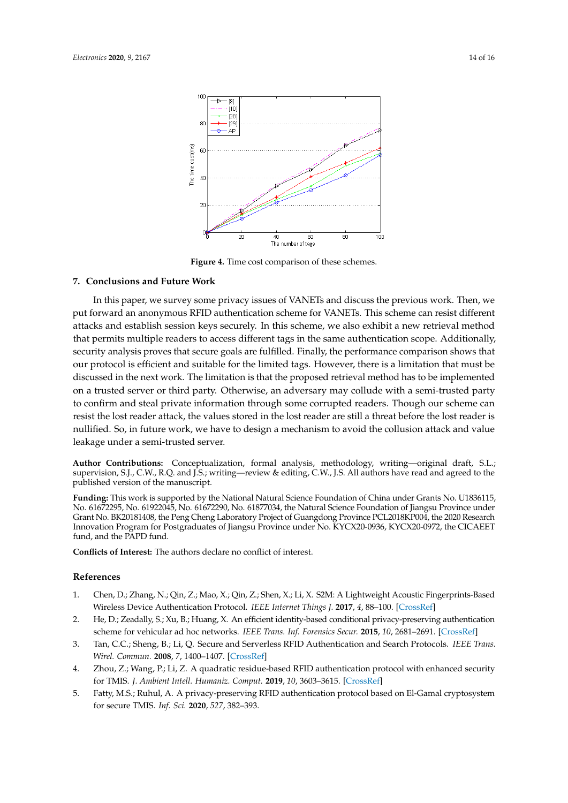<span id="page-13-6"></span>

**Figure 4.** Time cost comparison of these schemes.

# <span id="page-13-5"></span>**7. Conclusions and Future Work**

In this paper, we survey some privacy issues of VANETs and discuss the previous work. Then, we put forward an anonymous RFID authentication scheme for VANETs. This scheme can resist different attacks and establish session keys securely. In this scheme, we also exhibit a new retrieval method that permits multiple readers to access different tags in the same authentication scope. Additionally, security analysis proves that secure goals are fulfilled. Finally, the performance comparison shows that our protocol is efficient and suitable for the limited tags. However, there is a limitation that must be discussed in the next work. The limitation is that the proposed retrieval method has to be implemented on a trusted server or third party. Otherwise, an adversary may collude with a semi-trusted party to confirm and steal private information through some corrupted readers. Though our scheme can resist the lost reader attack, the values stored in the lost reader are still a threat before the lost reader is nullified. So, in future work, we have to design a mechanism to avoid the collusion attack and value leakage under a semi-trusted server.

**Author Contributions:** Conceptualization, formal analysis, methodology, writing—original draft, S.L.; supervision, S.J., C.W., R.Q. and J.S.; writing—review & editing, C.W., J.S. All authors have read and agreed to the published version of the manuscript.

**Funding:** This work is supported by the National Natural Science Foundation of China under Grants No. U1836115, No. 61672295, No. 61922045, No. 61672290, No. 61877034, the Natural Science Foundation of Jiangsu Province under Grant No. BK20181408, the Peng Cheng Laboratory Project of Guangdong Province PCL2018KP004, the 2020 Research Innovation Program for Postgraduates of Jiangsu Province under No. KYCX20-0936, KYCX20-0972, the CICAEET fund, and the PAPD fund.

**Conflicts of Interest:** The authors declare no conflict of interest.

#### **References**

- <span id="page-13-0"></span>1. Chen, D.; Zhang, N.; Qin, Z.; Mao, X.; Qin, Z.; Shen, X.; Li, X. S2M: A Lightweight Acoustic Fingerprints-Based Wireless Device Authentication Protocol. *IEEE Internet Things J.* **2017**, *4*, 88–100. [\[CrossRef\]](http://dx.doi.org/10.1109/JIOT.2016.2619679)
- <span id="page-13-1"></span>2. He, D.; Zeadally, S.; Xu, B.; Huang, X. An efficient identity-based conditional privacy-preserving authentication scheme for vehicular ad hoc networks. *IEEE Trans. Inf. Forensics Secur.* **2015**, *10*, 2681–2691. [\[CrossRef\]](http://dx.doi.org/10.1109/TIFS.2015.2473820)
- <span id="page-13-2"></span>3. Tan, C.C.; Sheng, B.; Li, Q. Secure and Serverless RFID Authentication and Search Protocols. *IEEE Trans. Wirel. Commun.* **2008**, *7*, 1400–1407. [\[CrossRef\]](http://dx.doi.org/10.1109/TWC.2008.061012)
- <span id="page-13-3"></span>4. Zhou, Z.; Wang, P.; Li, Z. A quadratic residue-based RFID authentication protocol with enhanced security for TMIS. *J. Ambient Intell. Humaniz. Comput.* **2019**, *10*, 3603–3615. [\[CrossRef\]](http://dx.doi.org/10.1007/s12652-018-1088-5)
- <span id="page-13-4"></span>5. Fatty, M.S.; Ruhul, A. A privacy-preserving RFID authentication protocol based on El-Gamal cryptosystem for secure TMIS. *Inf. Sci.* **2020**, *527*, 382–393.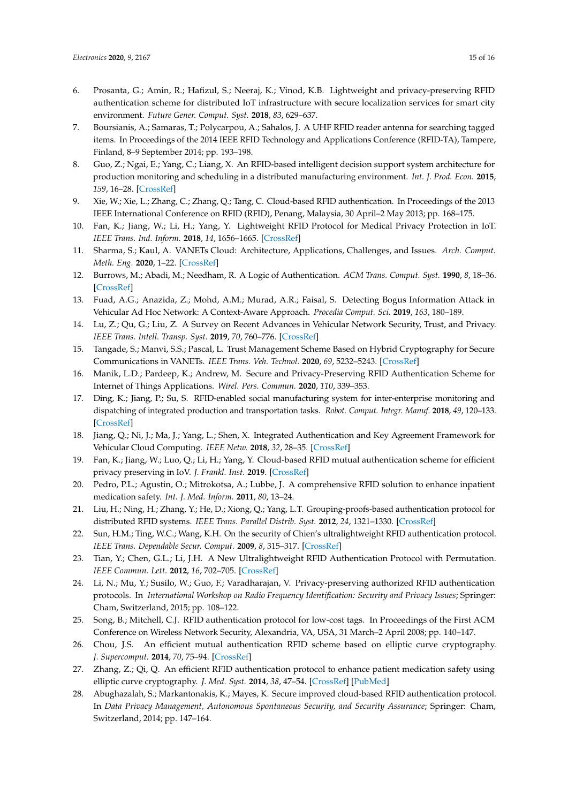- <span id="page-14-0"></span>6. Prosanta, G.; Amin, R.; Hafizul, S.; Neeraj, K.; Vinod, K.B. Lightweight and privacy-preserving RFID authentication scheme for distributed IoT infrastructure with secure localization services for smart city environment. *Future Gener. Comput. Syst.* **2018**, *83*, 629–637.
- <span id="page-14-1"></span>7. Boursianis, A.; Samaras, T.; Polycarpou, A.; Sahalos, J. A UHF RFID reader antenna for searching tagged items. In Proceedings of the 2014 IEEE RFID Technology and Applications Conference (RFID-TA), Tampere, Finland, 8–9 September 2014; pp. 193–198.
- <span id="page-14-2"></span>8. Guo, Z.; Ngai, E.; Yang, C.; Liang, X. An RFID-based intelligent decision support system architecture for production monitoring and scheduling in a distributed manufacturing environment. *Int. J. Prod. Econ.* **2015**, *159*, 16–28. [\[CrossRef\]](http://dx.doi.org/10.1016/j.ijpe.2014.09.004)
- <span id="page-14-3"></span>9. Xie, W.; Xie, L.; Zhang, C.; Zhang, Q.; Tang, C. Cloud-based RFID authentication. In Proceedings of the 2013 IEEE International Conference on RFID (RFID), Penang, Malaysia, 30 April–2 May 2013; pp. 168–175.
- <span id="page-14-4"></span>10. Fan, K.; Jiang, W.; Li, H.; Yang, Y. Lightweight RFID Protocol for Medical Privacy Protection in IoT. *IEEE Trans. Ind. Inform.* **2018**, *14*, 1656–1665. [\[CrossRef\]](http://dx.doi.org/10.1109/TII.2018.2794996)
- <span id="page-14-5"></span>11. Sharma, S.; Kaul, A. VANETs Cloud: Architecture, Applications, Challenges, and Issues. *Arch. Comput. Meth. Eng.* **2020**, 1–22. [\[CrossRef\]](http://dx.doi.org/10.1007/s11831-020-09447-9)
- <span id="page-14-6"></span>12. Burrows, M.; Abadi, M.; Needham, R. A Logic of Authentication. *ACM Trans. Comput. Syst.* **1990**, *8*, 18–36. [\[CrossRef\]](http://dx.doi.org/10.1145/77648.77649)
- <span id="page-14-7"></span>13. Fuad, A.G.; Anazida, Z.; Mohd, A.M.; Murad, A.R.; Faisal, S. Detecting Bogus Information Attack in Vehicular Ad Hoc Network: A Context-Aware Approach. *Procedia Comput. Sci.* **2019**, *163*, 180–189.
- <span id="page-14-8"></span>14. Lu, Z.; Qu, G.; Liu, Z. A Survey on Recent Advances in Vehicular Network Security, Trust, and Privacy. *IEEE Trans. Intell. Transp. Syst.* **2019**, *70*, 760–776. [\[CrossRef\]](http://dx.doi.org/10.1109/TITS.2018.2818888)
- <span id="page-14-9"></span>15. Tangade, S.; Manvi, S.S.; Pascal, L. Trust Management Scheme Based on Hybrid Cryptography for Secure Communications in VANETs. *IEEE Trans. Veh. Technol.* **2020**, *69*, 5232–5243. [\[CrossRef\]](http://dx.doi.org/10.1109/TVT.2020.2981127)
- <span id="page-14-10"></span>16. Manik, L.D.; Pardeep, K.; Andrew, M. Secure and Privacy-Preserving RFID Authentication Scheme for Internet of Things Applications. *Wirel. Pers. Commun.* **2020**, *110*, 339–353.
- <span id="page-14-11"></span>17. Ding, K.; Jiang, P.; Su, S. RFID-enabled social manufacturing system for inter-enterprise monitoring and dispatching of integrated production and transportation tasks. *Robot. Comput. Integr. Manuf.* **2018**, *49*, 120–133. [\[CrossRef\]](http://dx.doi.org/10.1016/j.rcim.2017.06.009)
- <span id="page-14-12"></span>18. Jiang, Q.; Ni, J.; Ma, J.; Yang, L.; Shen, X. Integrated Authentication and Key Agreement Framework for Vehicular Cloud Computing. *IEEE Netw.* **2018**, *32*, 28–35. [\[CrossRef\]](http://dx.doi.org/10.1109/MNET.2018.1700347)
- <span id="page-14-13"></span>19. Fan, K.; Jiang, W.; Luo, Q.; Li, H.; Yang, Y. Cloud-based RFID mutual authentication scheme for efficient privacy preserving in IoV. *J. Frankl. Inst.* **2019**. [\[CrossRef\]](http://dx.doi.org/10.1016/j.jfranklin.2019.02.023)
- <span id="page-14-14"></span>20. Pedro, P.L.; Agustin, O.; Mitrokotsa, A.; Lubbe, J. A comprehensive RFID solution to enhance inpatient medication safety. *Int. J. Med. Inform.* **2011**, *80*, 13–24.
- <span id="page-14-15"></span>21. Liu, H.; Ning, H.; Zhang, Y.; He, D.; Xiong, Q.; Yang, L.T. Grouping-proofs-based authentication protocol for distributed RFID systems. *IEEE Trans. Parallel Distrib. Syst.* **2012**, *24*, 1321–1330. [\[CrossRef\]](http://dx.doi.org/10.1109/TPDS.2012.218)
- <span id="page-14-16"></span>22. Sun, H.M.; Ting, W.C.; Wang, K.H. On the security of Chien's ultralightweight RFID authentication protocol. *IEEE Trans. Dependable Secur. Comput.* **2009**, *8*, 315–317. [\[CrossRef\]](http://dx.doi.org/10.1109/TDSC.2009.26)
- <span id="page-14-17"></span>23. Tian, Y.; Chen, G.L.; Li, J.H. A New Ultralightweight RFID Authentication Protocol with Permutation. *IEEE Commun. Lett.* **2012**, *16*, 702–705. [\[CrossRef\]](http://dx.doi.org/10.1109/LCOMM.2012.031212.120237)
- <span id="page-14-18"></span>24. Li, N.; Mu, Y.; Susilo, W.; Guo, F.; Varadharajan, V. Privacy-preserving authorized RFID authentication protocols. In *International Workshop on Radio Frequency Identification: Security and Privacy Issues*; Springer: Cham, Switzerland, 2015; pp. 108–122.
- <span id="page-14-19"></span>25. Song, B.; Mitchell, C.J. RFID authentication protocol for low-cost tags. In Proceedings of the First ACM Conference on Wireless Network Security, Alexandria, VA, USA, 31 March–2 April 2008; pp. 140–147.
- <span id="page-14-20"></span>26. Chou, J.S. An efficient mutual authentication RFID scheme based on elliptic curve cryptography. *J. Supercomput.* **2014**, *70*, 75–94. [\[CrossRef\]](http://dx.doi.org/10.1007/s11227-013-1073-x)
- <span id="page-14-21"></span>27. Zhang, Z.; Qi, Q. An efficient RFID authentication protocol to enhance patient medication safety using elliptic curve cryptography. *J. Med. Syst.* **2014**, *38*, 47–54. [\[CrossRef\]](http://dx.doi.org/10.1007/s10916-014-0047-8) [\[PubMed\]](http://www.ncbi.nlm.nih.gov/pubmed/24733525)
- <span id="page-14-22"></span>28. Abughazalah, S.; Markantonakis, K.; Mayes, K. Secure improved cloud-based RFID authentication protocol. In *Data Privacy Management, Autonomous Spontaneous Security, and Security Assurance*; Springer: Cham, Switzerland, 2014; pp. 147–164.